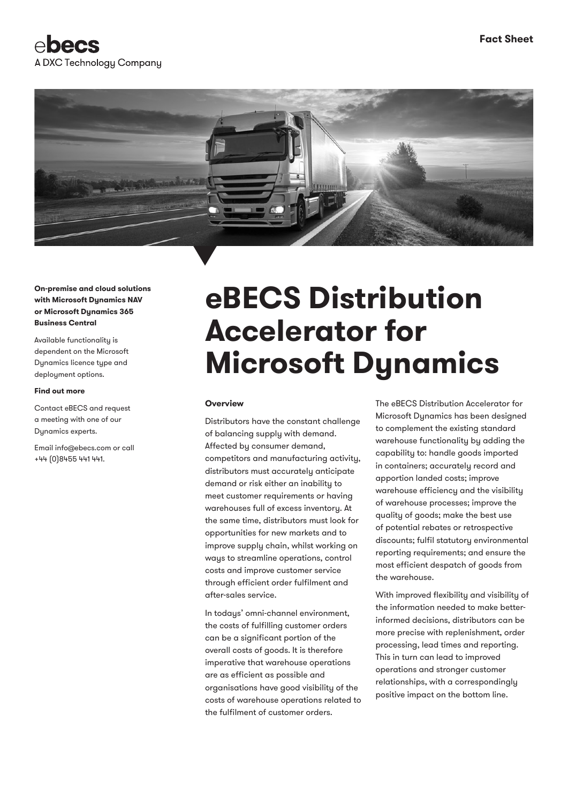



**On-premise and cloud solutions with Microsoft Dynamics NAV or Microsoft Dynamics 365 Business Central**

Available functionality is dependent on the Microsoft Dynamics licence type and deployment options.

#### **Find out more**

Contact eBECS and request a meeting with one of our Dynamics experts.

Email info@ebecs.com or call +44 (0)8455 441 441.

# **eBECS Distribution Accelerator for Microsoft Dynamics**

#### **Overview**

Distributors have the constant challenge of balancing supply with demand. Affected by consumer demand, competitors and manufacturing activity, distributors must accurately anticipate demand or risk either an inability to meet customer requirements or having warehouses full of excess inventory. At the same time, distributors must look for opportunities for new markets and to improve supply chain, whilst working on ways to streamline operations, control costs and improve customer service through efficient order fulfilment and after-sales service.

In todays' omni-channel environment, the costs of fulfilling customer orders can be a significant portion of the overall costs of goods. It is therefore imperative that warehouse operations are as efficient as possible and organisations have good visibility of the costs of warehouse operations related to the fulfilment of customer orders.

The eBECS Distribution Accelerator for Microsoft Dynamics has been designed to complement the existing standard warehouse functionality by adding the capability to: handle goods imported in containers; accurately record and apportion landed costs; improve warehouse efficiency and the visibility of warehouse processes; improve the quality of goods; make the best use of potential rebates or retrospective discounts; fulfil statutory environmental reporting requirements; and ensure the most efficient despatch of goods from the warehouse.

With improved flexibility and visibility of the information needed to make betterinformed decisions, distributors can be more precise with replenishment, order processing, lead times and reporting. This in turn can lead to improved operations and stronger customer relationships, with a correspondingly positive impact on the bottom line.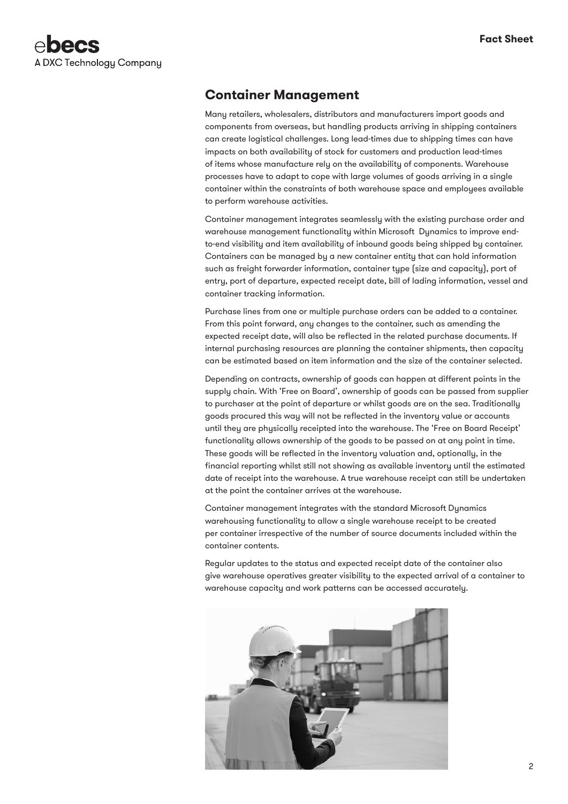

## **Container Management**

Many retailers, wholesalers, distributors and manufacturers import goods and components from overseas, but handling products arriving in shipping containers can create logistical challenges. Long lead-times due to shipping times can have impacts on both availability of stock for customers and production lead-times of items whose manufacture rely on the availability of components. Warehouse processes have to adapt to cope with large volumes of goods arriving in a single container within the constraints of both warehouse space and employees available to perform warehouse activities.

Container management integrates seamlessly with the existing purchase order and warehouse management functionality within Microsoft Dynamics to improve endto-end visibility and item availability of inbound goods being shipped by container. Containers can be managed by a new container entity that can hold information such as freight forwarder information, container type (size and capacity), port of entry, port of departure, expected receipt date, bill of lading information, vessel and container tracking information.

Purchase lines from one or multiple purchase orders can be added to a container. From this point forward, any changes to the container, such as amending the expected receipt date, will also be reflected in the related purchase documents. If internal purchasing resources are planning the container shipments, then capacity can be estimated based on item information and the size of the container selected.

Depending on contracts, ownership of goods can happen at different points in the supply chain. With 'Free on Board', ownership of goods can be passed from supplier to purchaser at the point of departure or whilst goods are on the sea. Traditionally goods procured this way will not be reflected in the inventory value or accounts until they are physically receipted into the warehouse. The 'Free on Board Receipt' functionality allows ownership of the goods to be passed on at any point in time. These goods will be reflected in the inventory valuation and, optionally, in the financial reporting whilst still not showing as available inventory until the estimated date of receipt into the warehouse. A true warehouse receipt can still be undertaken at the point the container arrives at the warehouse.

Container management integrates with the standard Microsoft Dynamics warehousing functionality to allow a single warehouse receipt to be created per container irrespective of the number of source documents included within the container contents.

Regular updates to the status and expected receipt date of the container also give warehouse operatives greater visibility to the expected arrival of a container to warehouse capacity and work patterns can be accessed accurately.

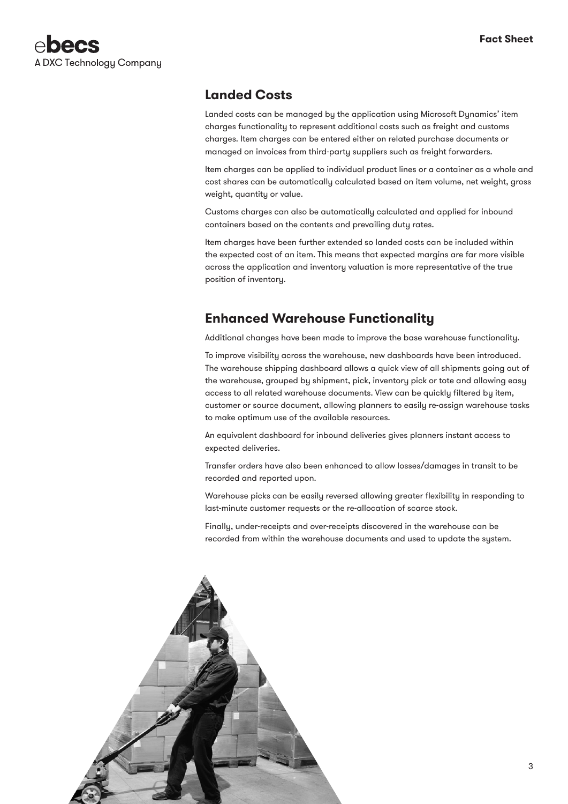

#### **Landed Costs**

Landed costs can be managed by the application using Microsoft Dynamics' item charges functionality to represent additional costs such as freight and customs charges. Item charges can be entered either on related purchase documents or managed on invoices from third-party suppliers such as freight forwarders.

Item charges can be applied to individual product lines or a container as a whole and cost shares can be automatically calculated based on item volume, net weight, gross weight, quantity or value.

Customs charges can also be automatically calculated and applied for inbound containers based on the contents and prevailing duty rates.

Item charges have been further extended so landed costs can be included within the expected cost of an item. This means that expected margins are far more visible across the application and inventory valuation is more representative of the true position of inventory.

### **Enhanced Warehouse Functionality**

Additional changes have been made to improve the base warehouse functionality.

To improve visibility across the warehouse, new dashboards have been introduced. The warehouse shipping dashboard allows a quick view of all shipments going out of the warehouse, grouped by shipment, pick, inventory pick or tote and allowing easy access to all related warehouse documents. View can be quickly filtered by item, customer or source document, allowing planners to easily re-assign warehouse tasks to make optimum use of the available resources.

An equivalent dashboard for inbound deliveries gives planners instant access to expected deliveries.

Transfer orders have also been enhanced to allow losses/damages in transit to be recorded and reported upon.

Warehouse picks can be easily reversed allowing greater flexibility in responding to last-minute customer requests or the re-allocation of scarce stock.

Finally, under-receipts and over-receipts discovered in the warehouse can be recorded from within the warehouse documents and used to update the system.

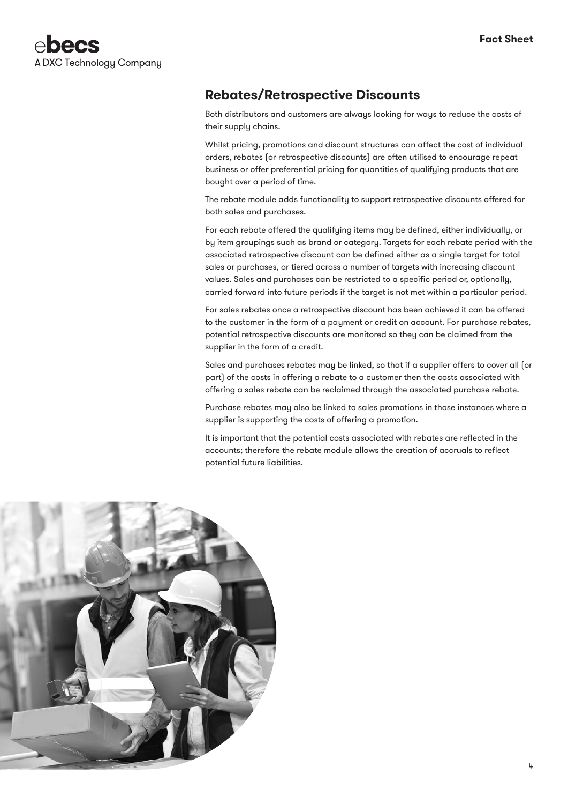

# **Rebates/Retrospective Discounts**

Both distributors and customers are always looking for ways to reduce the costs of their supply chains.

Whilst pricing, promotions and discount structures can affect the cost of individual orders, rebates (or retrospective discounts) are often utilised to encourage repeat business or offer preferential pricing for quantities of qualifying products that are bought over a period of time.

The rebate module adds functionality to support retrospective discounts offered for both sales and purchases.

For each rebate offered the qualifying items may be defined, either individually, or by item groupings such as brand or category. Targets for each rebate period with the associated retrospective discount can be defined either as a single target for total sales or purchases, or tiered across a number of targets with increasing discount values. Sales and purchases can be restricted to a specific period or, optionally, carried forward into future periods if the target is not met within a particular period.

For sales rebates once a retrospective discount has been achieved it can be offered to the customer in the form of a payment or credit on account. For purchase rebates, potential retrospective discounts are monitored so they can be claimed from the supplier in the form of a credit.

Sales and purchases rebates may be linked, so that if a supplier offers to cover all (or part) of the costs in offering a rebate to a customer then the costs associated with offering a sales rebate can be reclaimed through the associated purchase rebate.

Purchase rebates may also be linked to sales promotions in those instances where a supplier is supporting the costs of offering a promotion.

It is important that the potential costs associated with rebates are reflected in the accounts; therefore the rebate module allows the creation of accruals to reflect potential future liabilities.

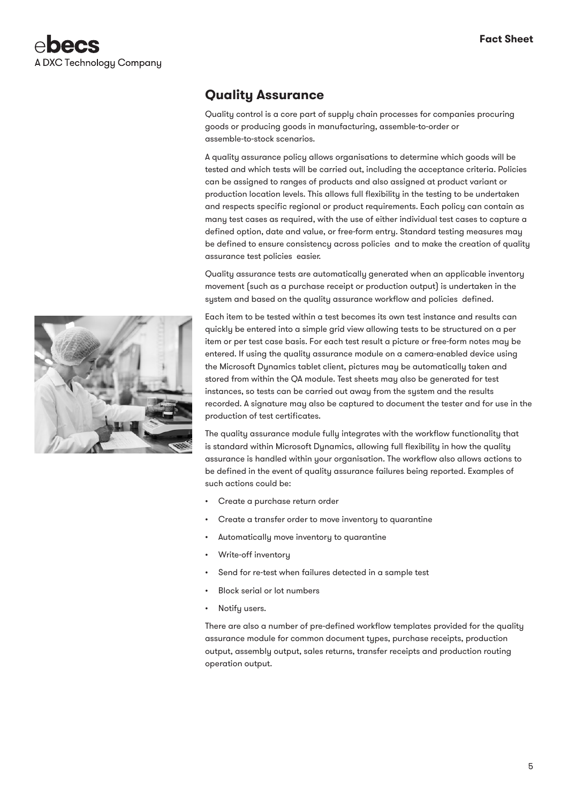## **Quality Assurance**

Quality control is a core part of supply chain processes for companies procuring goods or producing goods in manufacturing, assemble-to-order or assemble-to-stock scenarios.

A quality assurance policy allows organisations to determine which goods will be tested and which tests will be carried out, including the acceptance criteria. Policies can be assigned to ranges of products and also assigned at product variant or production location levels. This allows full flexibility in the testing to be undertaken and respects specific regional or product requirements. Each policy can contain as many test cases as required, with the use of either individual test cases to capture a defined option, date and value, or free-form entry. Standard testing measures may be defined to ensure consistency across policies and to make the creation of quality assurance test policies easier.

Quality assurance tests are automatically generated when an applicable inventory movement (such as a purchase receipt or production output) is undertaken in the system and based on the quality assurance workflow and policies defined.

Each item to be tested within a test becomes its own test instance and results can quickly be entered into a simple grid view allowing tests to be structured on a per item or per test case basis. For each test result a picture or free-form notes may be entered. If using the quality assurance module on a camera-enabled device using the Microsoft Dynamics tablet client, pictures may be automatically taken and stored from within the QA module. Test sheets may also be generated for test instances, so tests can be carried out away from the system and the results recorded. A signature may also be captured to document the tester and for use in the production of test certificates.

The quality assurance module fully integrates with the workflow functionality that is standard within Microsoft Dynamics, allowing full flexibility in how the quality assurance is handled within your organisation. The workflow also allows actions to be defined in the event of quality assurance failures being reported. Examples of such actions could be:

- Create a purchase return order
- Create a transfer order to move inventory to quarantine
- Automatically move inventory to quarantine
- Write-off inventory
- Send for re-test when failures detected in a sample test
- Block serial or lot numbers
- Notify users.

There are also a number of pre-defined workflow templates provided for the quality assurance module for common document types, purchase receipts, production output, assembly output, sales returns, transfer receipts and production routing operation output.

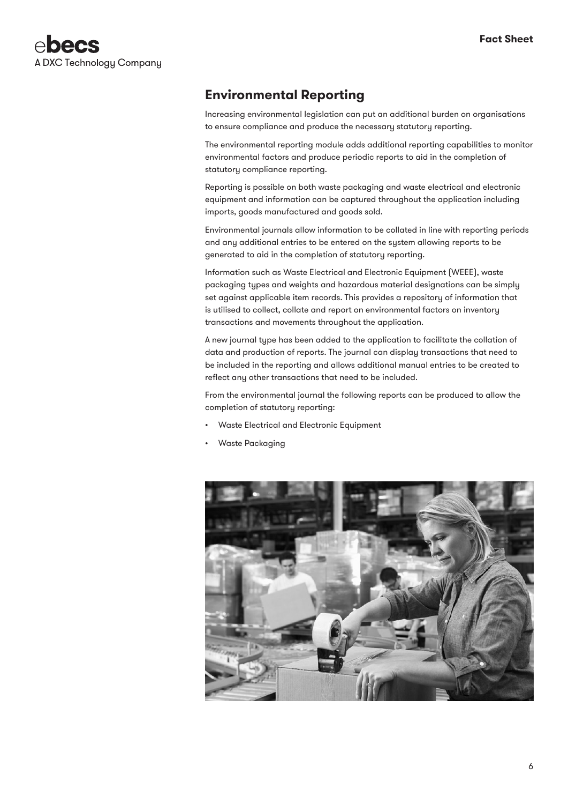

## **Environmental Reporting**

Increasing environmental legislation can put an additional burden on organisations to ensure compliance and produce the necessary statutory reporting.

The environmental reporting module adds additional reporting capabilities to monitor environmental factors and produce periodic reports to aid in the completion of statutory compliance reporting.

Reporting is possible on both waste packaging and waste electrical and electronic equipment and information can be captured throughout the application including imports, goods manufactured and goods sold.

Environmental journals allow information to be collated in line with reporting periods and any additional entries to be entered on the system allowing reports to be generated to aid in the completion of statutory reporting.

Information such as Waste Electrical and Electronic Equipment (WEEE), waste packaging types and weights and hazardous material designations can be simply set against applicable item records. This provides a repository of information that is utilised to collect, collate and report on environmental factors on inventory transactions and movements throughout the application.

A new journal type has been added to the application to facilitate the collation of data and production of reports. The journal can display transactions that need to be included in the reporting and allows additional manual entries to be created to reflect any other transactions that need to be included.

From the environmental journal the following reports can be produced to allow the completion of statutory reporting:

- Waste Electrical and Electronic Equipment
- Waste Packaging

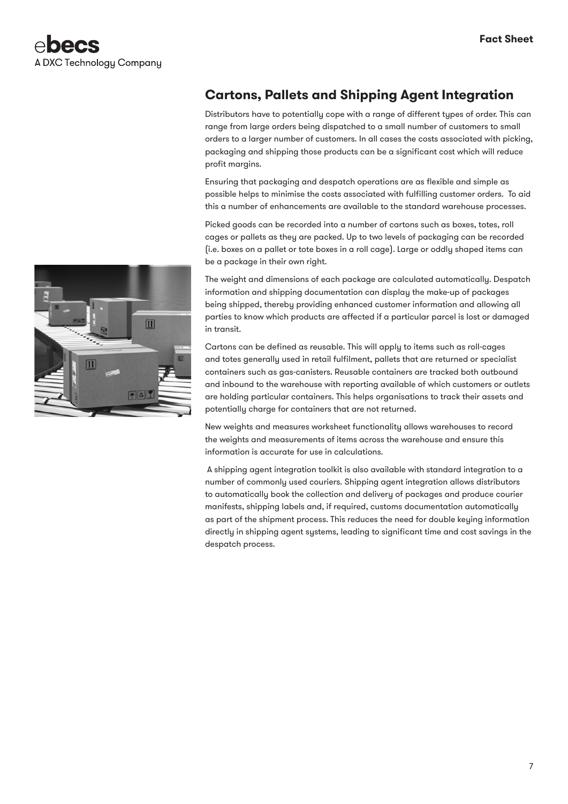# **Cartons, Pallets and Shipping Agent Integration**

Distributors have to potentially cope with a range of different types of order. This can range from large orders being dispatched to a small number of customers to small orders to a larger number of customers. In all cases the costs associated with picking, packaging and shipping those products can be a significant cost which will reduce profit margins.

Ensuring that packaging and despatch operations are as flexible and simple as possible helps to minimise the costs associated with fulfilling customer orders. To aid this a number of enhancements are available to the standard warehouse processes.

Picked goods can be recorded into a number of cartons such as boxes, totes, roll cages or pallets as they are packed. Up to two levels of packaging can be recorded (i.e. boxes on a pallet or tote boxes in a roll cage). Large or oddly shaped items can be a package in their own right.

The weight and dimensions of each package are calculated automatically. Despatch information and shipping documentation can display the make-up of packages being shipped, thereby providing enhanced customer information and allowing all parties to know which products are affected if a particular parcel is lost or damaged in transit.

Cartons can be defined as reusable. This will apply to items such as roll-cages and totes generally used in retail fulfilment, pallets that are returned or specialist containers such as gas-canisters. Reusable containers are tracked both outbound and inbound to the warehouse with reporting available of which customers or outlets are holding particular containers. This helps organisations to track their assets and potentially charge for containers that are not returned.

New weights and measures worksheet functionality allows warehouses to record the weights and measurements of items across the warehouse and ensure this information is accurate for use in calculations.

 A shipping agent integration toolkit is also available with standard integration to a number of commonly used couriers. Shipping agent integration allows distributors to automatically book the collection and delivery of packages and produce courier manifests, shipping labels and, if required, customs documentation automatically as part of the shipment process. This reduces the need for double keying information directly in shipping agent systems, leading to significant time and cost savings in the despatch process.